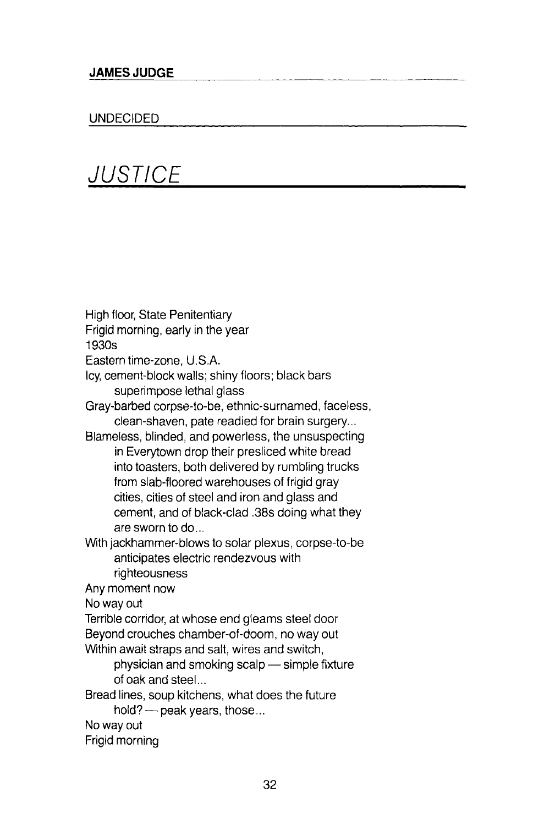## UNDECIDED

**JUSTICE** 

High floor, State Penitentiary Frigid morning, early in the year 1930s Eastern time-zone, U.S.A. Icy, cement-block walls; shiny floors; black bars superimpose lethal glass Gray-barbed corpse-to-be, ethnic-surnamed, faceless, clean-shaven, pate readied for brain surgery... Blameless, blinded, and powerless, the unsuspecting in Everytown drop their presliced white bread into toasters, both delivered by rumbling trucks from slab-floored warehouses of frigid gray cities, cities of steel and iron and glass and cement, and of black-clad .38s doing what they are sworn to do... With jackhammer-blows to solar plexus, corpse-to-be anticipates electric rendezvous with righteousness Any moment now No way out Terrible corridor, at whose end gleams steel door Beyond crouches chamber-of-doom, no way out Within await straps and salt, wires and switch, physician and smoking scalp — simple fixture of oak and steel... Bread lines, soup kitchens, what does the future hold? — peak years, those... No way out Frigid morning